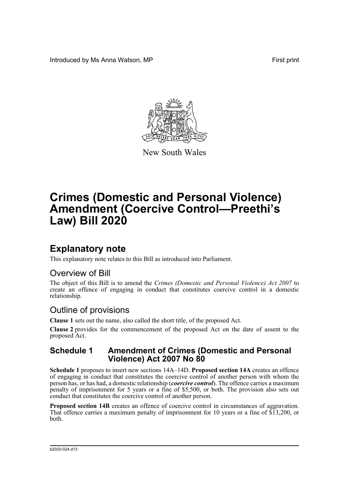Introduced by Ms Anna Watson, MP **First** print



New South Wales

# **Crimes (Domestic and Personal Violence) Amendment (Coercive Control—Preethi's Law) Bill 2020**

## **Explanatory note**

This explanatory note relates to this Bill as introduced into Parliament.

## Overview of Bill

The object of this Bill is to amend the *Crimes (Domestic and Personal Violence) Act 2007* to create an offence of engaging in conduct that constitutes coercive control in a domestic relationship.

## Outline of provisions

**Clause 1** sets out the name, also called the short title, of the proposed Act.

**Clause 2** provides for the commencement of the proposed Act on the date of assent to the proposed Act.

### **Schedule 1 Amendment of Crimes (Domestic and Personal Violence) Act 2007 No 80**

**Schedule 1** proposes to insert new sections 14A–14D. **Proposed section 14A** creates an offence of engaging in conduct that constitutes the coercive control of another person with whom the person has, or has had, a domestic relationship (*coercive control*). The offence carries a maximum penalty of imprisonment for 5 years or a fine of \$5,500, or both. The provision also sets out conduct that constitutes the coercive control of another person.

Proposed section 14B creates an offence of coercive control in circumstances of aggravation. That offence carries a maximum penalty of imprisonment for 10 years or a fine of \$13,200, or both.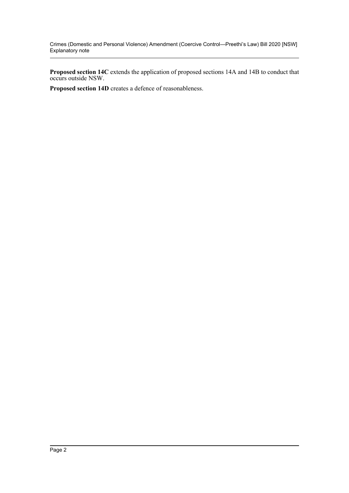Crimes (Domestic and Personal Violence) Amendment (Coercive Control—Preethi's Law) Bill 2020 [NSW] Explanatory note

**Proposed section 14C** extends the application of proposed sections 14A and 14B to conduct that occurs outside NSW.

**Proposed section 14D** creates a defence of reasonableness.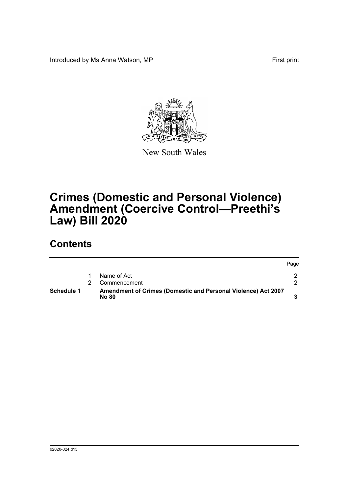Introduced by Ms Anna Watson, MP **First** print



New South Wales

# **Crimes (Domestic and Personal Violence) Amendment (Coercive Control—Preethi's Law) Bill 2020**

## **Contents**

| <b>Schedule 1</b> | Amendment of Crimes (Domestic and Personal Violence) Act 2007<br><b>No 80</b> |      |
|-------------------|-------------------------------------------------------------------------------|------|
|                   | Commencement                                                                  |      |
|                   | Name of Act                                                                   |      |
|                   |                                                                               | Page |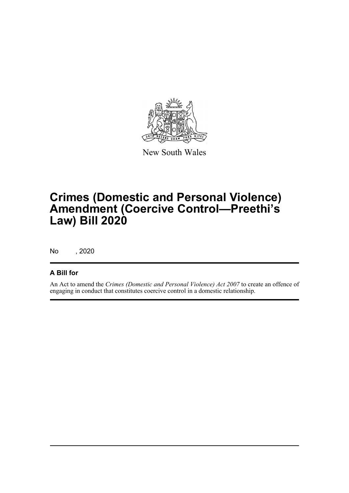

New South Wales

# **Crimes (Domestic and Personal Violence) Amendment (Coercive Control—Preethi's Law) Bill 2020**

No , 2020

### **A Bill for**

An Act to amend the *Crimes (Domestic and Personal Violence) Act 2007* to create an offence of engaging in conduct that constitutes coercive control in a domestic relationship.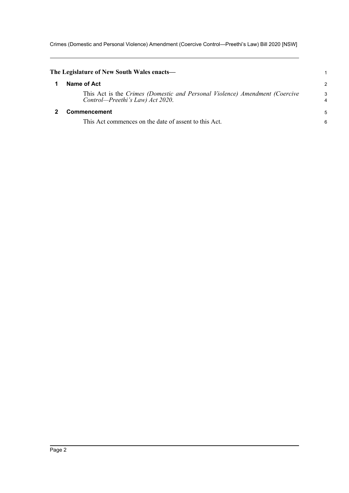Crimes (Domestic and Personal Violence) Amendment (Coercive Control—Preethi's Law) Bill 2020 [NSW]

<span id="page-4-1"></span><span id="page-4-0"></span>

| The Legislature of New South Wales enacts—                                                                      |        |
|-----------------------------------------------------------------------------------------------------------------|--------|
| Name of Act                                                                                                     | 2      |
| This Act is the Crimes (Domestic and Personal Violence) Amendment (Coercive<br>Control—Preethi's Law) Act 2020. | 3<br>4 |
| Commencement                                                                                                    |        |
| This Act commences on the date of assent to this Act.                                                           | 6      |
|                                                                                                                 |        |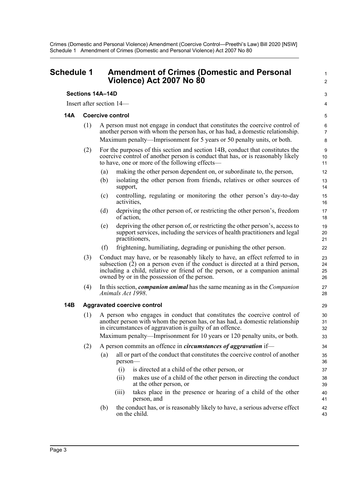### <span id="page-5-0"></span>**Schedule 1 Amendment of Crimes (Domestic and Personal Violence) Act 2007 No 80**

### **Sections 14A–14D**

Insert after section 14—

#### **14A Coercive control**

(1) A person must not engage in conduct that constitutes the coercive control of another person with whom the person has, or has had, a domestic relationship. Maximum penalty—Imprisonment for 5 years or 50 penalty units, or both.

1  $\mathcal{L}$ 

3 4

- (2) For the purposes of this section and section 14B, conduct that constitutes the coercive control of another person is conduct that has, or is reasonably likely to have, one or more of the following effects—
	- (a) making the other person dependent on, or subordinate to, the person,
	- (b) isolating the other person from friends, relatives or other sources of support,
	- (c) controlling, regulating or monitoring the other person's day-to-day activities,
	- (d) depriving the other person of, or restricting the other person's, freedom of action,
	- (e) depriving the other person of, or restricting the other person's, access to support services, including the services of health practitioners and legal practitioners,
	- (f) frightening, humiliating, degrading or punishing the other person.
- (3) Conduct may have, or be reasonably likely to have, an effect referred to in subsection (2) on a person even if the conduct is directed at a third person, including a child, relative or friend of the person, or a companion animal owned by or in the possession of the person.
- (4) In this section, *companion animal* has the same meaning as in the *Companion Animals Act 1998*.

### **14B Aggravated coercive control**

(1) A person who engages in conduct that constitutes the coercive control of another person with whom the person has, or has had, a domestic relationship in circumstances of aggravation is guilty of an offence.

Maximum penalty—Imprisonment for 10 years or 120 penalty units, or both.

- (2) A person commits an offence in *circumstances of aggravation* if—
	- (a) all or part of the conduct that constitutes the coercive control of another person—
		- (i) is directed at a child of the other person, or
		- (ii) makes use of a child of the other person in directing the conduct at the other person, or
		- (iii) takes place in the presence or hearing of a child of the other person, and
	- (b) the conduct has, or is reasonably likely to have, a serious adverse effect on the child.